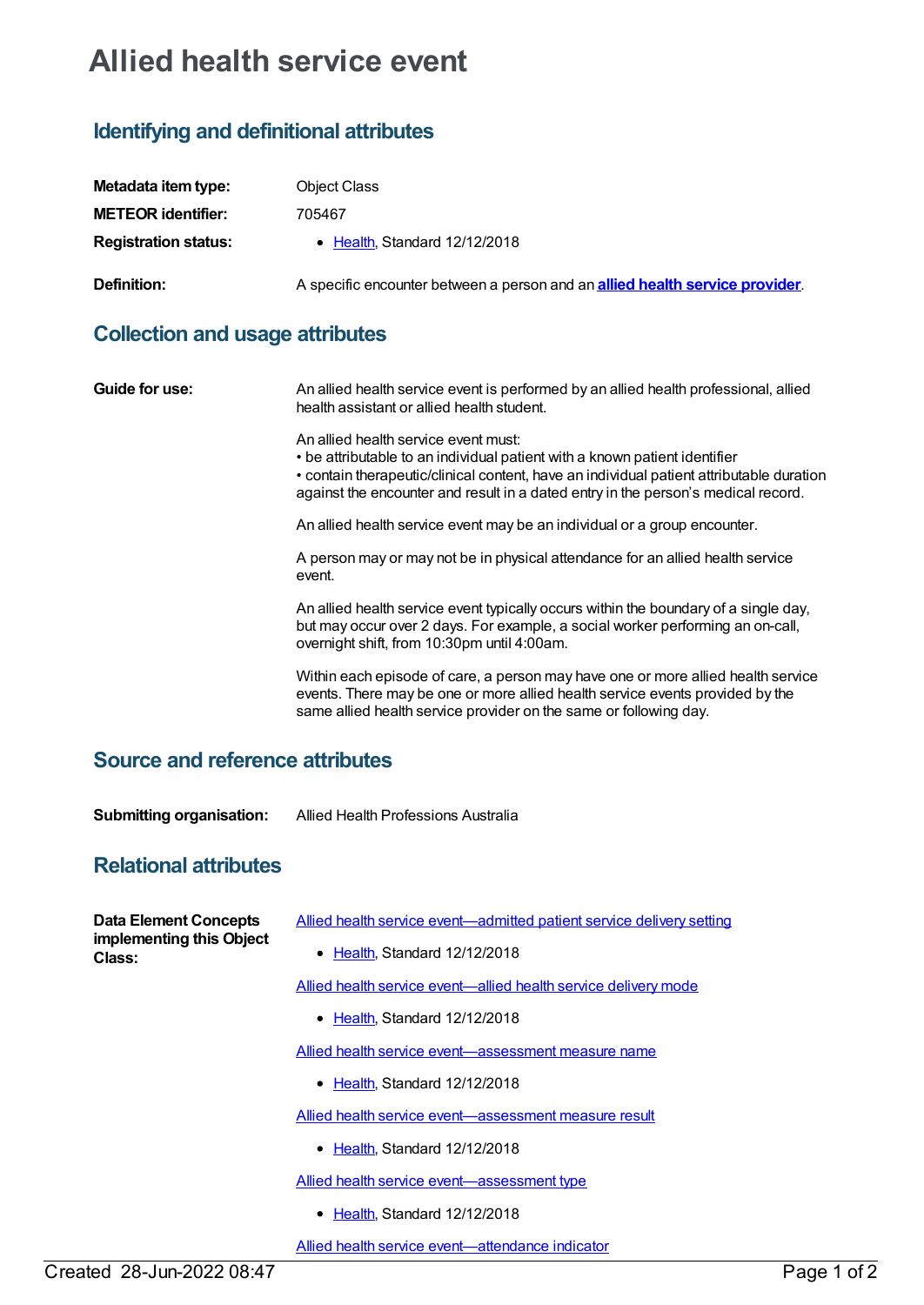## **Allied health service event**

## **Identifying and definitional attributes**

| Metadata item type:         | <b>Object Class</b>                                                                  |
|-----------------------------|--------------------------------------------------------------------------------------|
| <b>METEOR identifier:</b>   | 705467                                                                               |
| <b>Registration status:</b> | • Health, Standard 12/12/2018                                                        |
| Definition:                 | A specific encounter between a person and an <b>allied health service provider</b> . |

## **Collection and usage attributes**

| Guide for use:                         | An allied health service event is performed by an allied health professional, allied<br>health assistant or allied health student.                                                                                                                                                                  |
|----------------------------------------|-----------------------------------------------------------------------------------------------------------------------------------------------------------------------------------------------------------------------------------------------------------------------------------------------------|
|                                        | An allied health service event must:<br>• be attributable to an individual patient with a known patient identifier<br>• contain therapeutic/clinical content, have an individual patient attributable duration<br>against the encounter and result in a dated entry in the person's medical record. |
|                                        | An allied health service event may be an individual or a group encounter.                                                                                                                                                                                                                           |
|                                        | A person may or may not be in physical attendance for an allied health service<br>event.                                                                                                                                                                                                            |
|                                        | An allied health service event typically occurs within the boundary of a single day,<br>but may occur over 2 days. For example, a social worker performing an on-call,<br>overnight shift, from 10:30pm until 4:00am.                                                                               |
|                                        | Within each episode of care, a person may have one or more allied health service<br>events. There may be one or more allied health service events provided by the<br>same allied health service provider on the same or following day.                                                              |
| <b>Source and reference attributes</b> |                                                                                                                                                                                                                                                                                                     |

**Submitting organisation:** Allied Health Professions Australia

## **Relational attributes**

| <b>Data Element Concepts</b><br>implementing this Object<br>Class: | Allied health service event-admitted patient service delivery setting |
|--------------------------------------------------------------------|-----------------------------------------------------------------------|
|                                                                    | • Health, Standard 12/12/2018                                         |
|                                                                    | Allied health service event—allied health service delivery mode       |
|                                                                    | $\bullet$ Health, Standard 12/12/2018                                 |
|                                                                    | Allied health service event-assessment measure name                   |
|                                                                    | • Health, Standard 12/12/2018                                         |
|                                                                    | Allied health service event-assessment measure result                 |
|                                                                    | • Health, Standard 12/12/2018                                         |
|                                                                    | Allied health service event-assessment type                           |
|                                                                    | • Health, Standard 12/12/2018                                         |
|                                                                    | Allied health service event—attendance indicator                      |